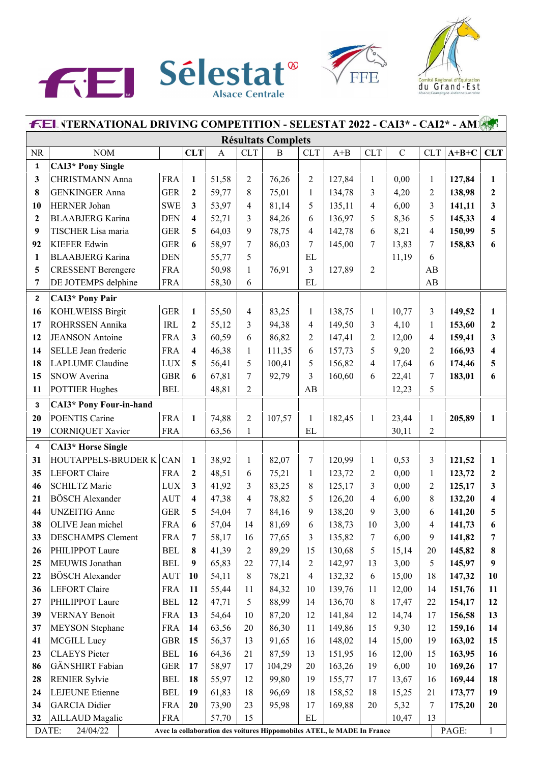





| <b>FEL VTERNATIONAL DRIVING COMPETITION - SELESTAT 2022 - CAI3* - CAI2* - AM</b> |                                                                                                                       |            |                         |              |                |          |                         |         |                |             |                |         |                         |
|----------------------------------------------------------------------------------|-----------------------------------------------------------------------------------------------------------------------|------------|-------------------------|--------------|----------------|----------|-------------------------|---------|----------------|-------------|----------------|---------|-------------------------|
|                                                                                  | <b>Résultats Complets</b>                                                                                             |            |                         |              |                |          |                         |         |                |             |                |         |                         |
| <b>NR</b>                                                                        | <b>NOM</b>                                                                                                            |            | <b>CLT</b>              | $\mathbf{A}$ | <b>CLT</b>     | $\bf{B}$ | <b>CLT</b>              | $A + B$ | <b>CLT</b>     | $\mathbf C$ | <b>CLT</b>     | $A+B+C$ | <b>CLT</b>              |
| 1                                                                                | <b>CAI3*</b> Pony Single                                                                                              |            |                         |              |                |          |                         |         |                |             |                |         |                         |
| 3                                                                                | <b>CHRISTMANN Anna</b>                                                                                                | <b>FRA</b> | $\mathbf{1}$            | 51,58        | $\overline{2}$ | 76,26    | $\mathfrak{2}$          | 127,84  | 1              | 0,00        | $\mathbf{1}$   | 127,84  | 1                       |
| 8                                                                                | <b>GENKINGER Anna</b>                                                                                                 | <b>GER</b> | $\boldsymbol{2}$        | 59,77        | 8              | 75,01    | $\mathbf{1}$            | 134,78  | 3              | 4,20        | $\overline{2}$ | 138,98  | $\mathbf{2}$            |
| 10                                                                               | <b>HERNER Johan</b>                                                                                                   | <b>SWE</b> | $\mathbf{3}$            | 53,97        | 4              | 81,14    | 5                       | 135,11  | $\overline{4}$ | 6,00        | 3              | 141,11  | $\overline{\mathbf{3}}$ |
| $\mathbf{2}$                                                                     | <b>BLAABJERG</b> Karina                                                                                               | <b>DEN</b> | $\overline{\mathbf{4}}$ | 52,71        | 3              | 84,26    | 6                       | 136,97  | 5              | 8,36        | 5              | 145,33  | $\overline{\mathbf{4}}$ |
| 9                                                                                | TISCHER Lisa maria                                                                                                    | <b>GER</b> | 5                       | 64,03        | 9              | 78,75    | 4                       | 142,78  | 6              | 8,21        | 4              | 150,99  | 5                       |
| 92                                                                               | <b>KIEFER Edwin</b>                                                                                                   | <b>GER</b> | 6                       | 58,97        | 7              | 86,03    | 7                       | 145,00  | 7              | 13,83       | 7              | 158,83  | 6                       |
| 1                                                                                | <b>BLAABJERG</b> Karina                                                                                               | <b>DEN</b> |                         | 55,77        | 5              |          | EL                      |         |                | 11,19       | 6              |         |                         |
| 5                                                                                | <b>CRESSENT Berengere</b>                                                                                             | <b>FRA</b> |                         | 50,98        | 1              | 76,91    | 3                       | 127,89  | $\overline{2}$ |             | AB             |         |                         |
| $\overline{7}$                                                                   | DE JOTEMPS delphine                                                                                                   | <b>FRA</b> |                         | 58,30        | 6              |          | EL                      |         |                |             | AB             |         |                         |
| $\mathbf{2}$                                                                     | <b>CAI3*</b> Pony Pair                                                                                                |            |                         |              |                |          |                         |         |                |             |                |         |                         |
| 16                                                                               | <b>KOHLWEISS Birgit</b>                                                                                               | <b>GER</b> | $\mathbf{1}$            | 55,50        | 4              | 83,25    | $\mathbf{1}$            | 138,75  | 1              | 10,77       | 3              | 149,52  | 1                       |
| 17                                                                               | ROHRSSEN Annika                                                                                                       | <b>IRL</b> | $\overline{2}$          | 55,12        | 3              | 94,38    | $\overline{\mathbf{4}}$ | 149,50  | 3              | 4,10        | $\mathbf{1}$   | 153,60  | $\mathbf{2}$            |
| 12                                                                               | <b>JEANSON</b> Antoine                                                                                                | <b>FRA</b> | $\mathbf{3}$            | 60,59        | 6              | 86,82    | $\overline{2}$          | 147,41  | $\overline{2}$ | 12,00       | 4              | 159,41  | $\mathbf{3}$            |
| 14                                                                               | SELLE Jean frederic                                                                                                   | <b>FRA</b> | $\overline{\mathbf{4}}$ | 46,38        | 1              | 111,35   | 6                       | 157,73  | 5              | 9,20        | $\overline{2}$ | 166,93  | $\overline{\mathbf{4}}$ |
| 18                                                                               | <b>LAPLUME</b> Claudine                                                                                               | <b>LUX</b> | 5                       | 56,41        | 5              | 100,41   | 5                       | 156,82  | $\overline{4}$ | 17,64       | 6              | 174,46  | 5                       |
| 15                                                                               | <b>SNOW Averina</b>                                                                                                   | <b>GBR</b> | 6                       | 67,81        | 7              | 92,79    | 3                       | 160,60  | 6              | 22,41       | 7              | 183,01  | 6                       |
| 11                                                                               | <b>POTTIER Hughes</b>                                                                                                 | <b>BEL</b> |                         | 48,81        | $\overline{2}$ |          | AB                      |         |                | 12,23       | 5              |         |                         |
| $\mathbf{3}$                                                                     | CAI3* Pony Four-in-hand                                                                                               |            |                         |              |                |          |                         |         |                |             |                |         |                         |
| 20                                                                               | POENTIS Carine                                                                                                        | <b>FRA</b> | $\mathbf{1}$            | 74,88        | $\overline{2}$ | 107,57   | $\mathbf{1}$            | 182,45  | $\mathbf{1}$   | 23,44       | $\mathbf{1}$   | 205,89  | 1                       |
| 19                                                                               | <b>CORNIQUET Xavier</b>                                                                                               | <b>FRA</b> |                         | 63,56        | $\mathbf{1}$   |          | EL                      |         |                | 30,11       | $\overline{2}$ |         |                         |
| $\boldsymbol{4}$                                                                 | <b>CAI3*</b> Horse Single                                                                                             |            |                         |              |                |          |                         |         |                |             |                |         |                         |
| 31                                                                               | HOUTAPPELS-BRUDER K CAN                                                                                               |            | $\mathbf{1}$            | 38,92        | 1              | 82,07    | 7                       | 120,99  | 1              | 0,53        | 3              | 121,52  | 1                       |
| 35                                                                               | <b>LEFORT Claire</b>                                                                                                  | <b>FRA</b> | $\overline{2}$          | 48,51        | 6              | 75,21    | $\mathbf{1}$            | 123,72  | $\overline{c}$ | 0,00        | $\mathbf{1}$   | 123,72  | $\mathbf{2}$            |
| 46                                                                               | <b>SCHILTZ Marie</b>                                                                                                  | <b>LUX</b> | $\mathbf{3}$            | 41,92        | 3              | 83,25    | 8                       | 125,17  | 3              | 0,00        | $\overline{c}$ | 125,17  | $\mathbf{3}$            |
| 21                                                                               | <b>BÖSCH Alexander</b>                                                                                                | <b>AUT</b> | $\overline{\mathbf{4}}$ | 47,38        | 4              | 78,82    | 5                       | 126,20  | $\overline{4}$ | 6,00        | 8              | 132,20  | $\overline{\mathbf{4}}$ |
| 44                                                                               | <b>UNZEITIG Anne</b>                                                                                                  | <b>GER</b> | 5                       | 54,04        | 7              | 84,16    | 9                       | 138,20  | 9              | 3,00        | 6              | 141,20  | 5                       |
| 38                                                                               | OLIVE Jean michel                                                                                                     | FRA        | 6                       | 57,04        | 14             | 81,69    | 6                       | 138,73  | 10             | 3,00        | 4              | 141,73  | 6                       |
| 33                                                                               | <b>DESCHAMPS Clement</b>                                                                                              | <b>FRA</b> | $\overline{7}$          | 58,17        | 16             | 77,65    | 3                       | 135,82  | 7              | 6,00        | 9              | 141,82  | 7                       |
| 26                                                                               | PHILIPPOT Laure                                                                                                       | <b>BEL</b> | 8                       | 41,39        | 2              | 89,29    | 15                      | 130,68  | 5              | 15,14       | 20             | 145,82  | 8                       |
| 25                                                                               | MEUWIS Jonathan                                                                                                       | <b>BEL</b> | $\boldsymbol{9}$        | 65,83        | 22             | 77,14    | 2                       | 142,97  | 13             | 3,00        | 5              | 145,97  | 9                       |
| 22                                                                               | <b>BÖSCH</b> Alexander                                                                                                | AUT        | 10                      | 54,11        | 8              | 78,21    | 4                       | 132,32  | 6              | 15,00       | 18             | 147,32  | 10                      |
| 36                                                                               | <b>LEFORT Claire</b>                                                                                                  | <b>FRA</b> | 11                      | 55,44        | 11             | 84,32    | 10                      | 139,76  | 11             | 12,00       | 14             | 151,76  | 11                      |
| 27                                                                               | PHILIPPOT Laure                                                                                                       | <b>BEL</b> | 12                      | 47,71        | 5              | 88,99    | 14                      | 136,70  | 8              | 17,47       | 22             | 154,17  | 12                      |
| 39                                                                               | <b>VERNAY Benoit</b>                                                                                                  | <b>FRA</b> | 13                      | 54,64        | 10             | 87,20    | 12                      | 141,84  | 12             | 14,74       | 17             | 156,58  | 13                      |
| 37                                                                               | <b>MEYSON</b> Stephane                                                                                                | <b>FRA</b> | 14                      | 63,56        | 20             | 86,30    | 11                      | 149,86  | 15             | 9,30        | 12             | 159,16  | 14                      |
| 41                                                                               | <b>MCGILL Lucy</b>                                                                                                    | <b>GBR</b> | 15                      | 56,37        | 13             | 91,65    | 16                      | 148,02  | 14             | 15,00       | 19             | 163,02  | 15                      |
| 23                                                                               | <b>CLAEYS</b> Pieter                                                                                                  | <b>BEL</b> | 16                      | 64,36        | 21             | 87,59    | 13                      | 151,95  | 16             | 12,00       | 15             | 163,95  | 16                      |
| 86                                                                               | GÄNSHIRT Fabian                                                                                                       | <b>GER</b> | 17                      | 58,97        | 17             | 104,29   | 20                      | 163,26  | 19             | 6,00        | 10             | 169,26  | 17                      |
| 28                                                                               | <b>RENIER Sylvie</b>                                                                                                  | <b>BEL</b> | 18                      | 55,97        | 12             | 99,80    | 19                      | 155,77  | 17             | 13,67       | 16             | 169,44  | 18                      |
| 24                                                                               | <b>LEJEUNE</b> Etienne                                                                                                | <b>BEL</b> | 19                      | 61,83        | 18             | 96,69    | 18                      | 158,52  | 18             | 15,25       | 21             | 173,77  | 19                      |
| 34                                                                               | <b>GARCIA</b> Didier                                                                                                  | <b>FRA</b> | 20                      | 73,90        | 23             | 95,98    | 17                      | 169,88  | 20             | 5,32        | 7              | 175,20  | 20                      |
| 32                                                                               | <b>AILLAUD</b> Magalie                                                                                                | <b>FRA</b> |                         | 57,70        | 15             |          | EL                      |         |                | 10,47       | 13             |         |                         |
|                                                                                  | PAGE:<br>DATE:<br>24/04/22<br>$\mathbf{1}$<br>Avec la collaboration des voitures Hippomobiles ATEL, le MADE In France |            |                         |              |                |          |                         |         |                |             |                |         |                         |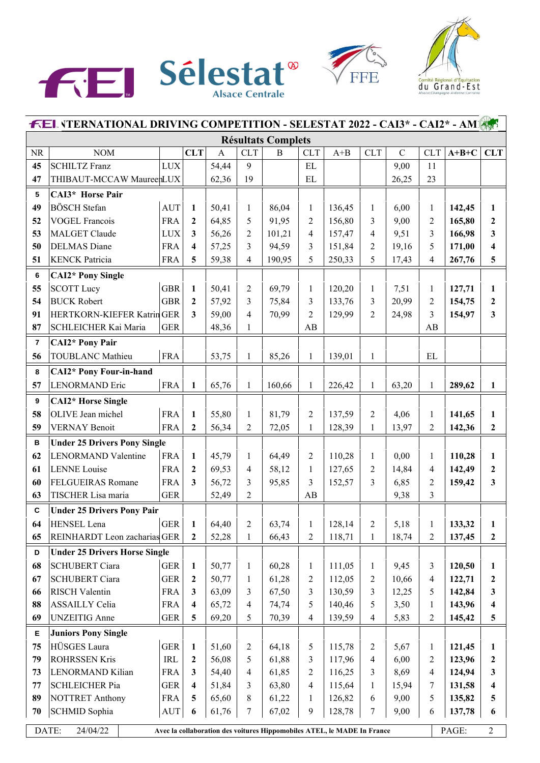





| <b>FEL VTERNATIONAL DRIVING COMPETITION - SELESTAT 2022 - CAI3* - CAI2* - AMERY</b>                                     |                                      |                        |                         |              |                |          |                |         |                |               |                          |         |                  |
|-------------------------------------------------------------------------------------------------------------------------|--------------------------------------|------------------------|-------------------------|--------------|----------------|----------|----------------|---------|----------------|---------------|--------------------------|---------|------------------|
|                                                                                                                         | <b>Résultats Complets</b>            |                        |                         |              |                |          |                |         |                |               |                          |         |                  |
| <b>NR</b>                                                                                                               | <b>NOM</b>                           |                        | <b>CLT</b>              | $\mathbf{A}$ | <b>CLT</b>     | $\bf{B}$ | <b>CLT</b>     | $A + B$ | <b>CLT</b>     | $\mathcal{C}$ | <b>CLT</b>               | $A+B+C$ | <b>CLT</b>       |
| 45                                                                                                                      | <b>SCHILTZ Franz</b>                 | <b>LUX</b>             |                         | 54,44        | 9              |          | $\mathbf{EL}$  |         |                | 9,00          | 11                       |         |                  |
| 47                                                                                                                      | THIBAUT-MCCAW MaureenLUX             |                        |                         | 62,36        | 19             |          | $\mathbf{EL}$  |         |                | 26,25         | 23                       |         |                  |
| 5                                                                                                                       | CAI3* Horse Pair                     |                        |                         |              |                |          |                |         |                |               |                          |         |                  |
| 49                                                                                                                      | <b>BÖSCH</b> Stefan                  | <b>AUT</b>             | $\mathbf{1}$            | 50,41        | $\mathbf{1}$   | 86,04    | $\mathbf{1}$   | 136,45  | 1              | 6,00          | 1                        | 142,45  | 1                |
| 52                                                                                                                      | <b>VOGEL Francois</b>                | <b>FRA</b>             | $\boldsymbol{2}$        | 64,85        | 5              | 91,95    | $\overline{2}$ | 156,80  | 3              | 9,00          | $\overline{2}$           | 165,80  | $\mathbf{2}$     |
| 53                                                                                                                      | <b>MALGET Claude</b>                 | $_{\mbox{\text{LUX}}}$ | 3                       | 56,26        | $\overline{2}$ | 101,21   | $\overline{4}$ | 157,47  | 4              | 9,51          | 3                        | 166,98  | 3                |
| 50                                                                                                                      | <b>DELMAS</b> Diane                  | <b>FRA</b>             | 4                       | 57,25        | 3              | 94,59    | 3              | 151,84  | $\overline{c}$ | 19,16         | 5                        | 171,00  | 4                |
| 51                                                                                                                      | <b>KENCK Patricia</b>                | <b>FRA</b>             | 5                       | 59,38        | $\overline{4}$ | 190,95   | 5              | 250,33  | 5              | 17,43         | $\overline{\mathcal{A}}$ | 267,76  | 5                |
| 6                                                                                                                       | <b>CAI2*</b> Pony Single             |                        |                         |              |                |          |                |         |                |               |                          |         |                  |
| 55                                                                                                                      | <b>SCOTT</b> Lucy                    | <b>GBR</b>             | $\mathbf{1}$            | 50,41        | $\overline{2}$ | 69,79    | $\mathbf{1}$   | 120,20  | $\mathbf{1}$   | 7,51          | 1                        | 127,71  | $\mathbf{1}$     |
| 54                                                                                                                      | <b>BUCK Robert</b>                   | <b>GBR</b>             | $\boldsymbol{2}$        | 57,92        | 3              | 75,84    | 3              | 133,76  | 3              | 20,99         | $\overline{c}$           | 154,75  | $\boldsymbol{2}$ |
| 91                                                                                                                      | <b>HERTKORN-KIEFER Katrin GER</b>    |                        | 3                       | 59,00        | $\overline{4}$ | 70,99    | $\overline{2}$ | 129,99  | $\overline{c}$ | 24,98         | 3                        | 154,97  | 3                |
| 87                                                                                                                      | SCHLEICHER Kai Maria                 | <b>GER</b>             |                         | 48,36        | $\mathbf{1}$   |          | AB             |         |                |               | AB                       |         |                  |
| $\overline{7}$                                                                                                          | <b>CAI2*</b> Pony Pair               |                        |                         |              |                |          |                |         |                |               |                          |         |                  |
| 56                                                                                                                      | <b>TOUBLANC Mathieu</b>              | <b>FRA</b>             |                         | 53,75        | $\mathbf{1}$   | 85,26    | $\mathbf{1}$   | 139,01  | $\mathbf{1}$   |               | EL                       |         |                  |
| 8                                                                                                                       | <b>CAI2*</b> Pony Four-in-hand       |                        |                         |              |                |          |                |         |                |               |                          |         |                  |
| 57                                                                                                                      | <b>LENORMAND Eric</b>                | <b>FRA</b>             | $\mathbf{1}$            | 65,76        | $\mathbf{1}$   | 160,66   | $\mathbf{1}$   | 226,42  | $\mathbf{1}$   | 63,20         | $\mathbf{1}$             | 289,62  | 1                |
| 9                                                                                                                       | <b>CAI2*</b> Horse Single            |                        |                         |              |                |          |                |         |                |               |                          |         |                  |
| 58                                                                                                                      | OLIVE Jean michel                    | <b>FRA</b>             | $\mathbf{1}$            | 55,80        | $\mathbf{1}$   | 81,79    | $\overline{2}$ | 137,59  | $\overline{c}$ | 4,06          | 1                        | 141,65  | $\mathbf{1}$     |
| 59                                                                                                                      | <b>VERNAY Benoit</b>                 | <b>FRA</b>             | $\overline{2}$          | 56,34        | $\overline{2}$ | 72,05    | $\mathbf{1}$   | 128,39  | $\mathbf{1}$   | 13,97         | $\overline{2}$           | 142,36  | $\mathbf{2}$     |
| В                                                                                                                       | <b>Under 25 Drivers Pony Single</b>  |                        |                         |              |                |          |                |         |                |               |                          |         |                  |
| 62                                                                                                                      | <b>LENORMAND Valentine</b>           | <b>FRA</b>             | $\mathbf{1}$            | 45,79        | 1              | 64,49    | $\overline{2}$ | 110,28  | $\mathbf{1}$   | 0,00          | $\mathbf{1}$             | 110,28  | $\mathbf{1}$     |
| 61                                                                                                                      | <b>LENNE</b> Louise                  | <b>FRA</b>             | $\boldsymbol{2}$        | 69,53        | $\overline{4}$ | 58,12    | $\mathbf{1}$   | 127,65  | 2              | 14,84         | $\overline{4}$           | 142,49  | $\overline{2}$   |
| 60                                                                                                                      | <b>FELGUEIRAS Romane</b>             | <b>FRA</b>             | 3                       | 56,72        | 3              | 95,85    | 3              | 152,57  | 3              | 6,85          | 2                        | 159,42  | 3                |
| 63                                                                                                                      | TISCHER Lisa maria                   | <b>GER</b>             |                         | 52,49        | $\overline{2}$ |          | AB             |         |                | 9,38          | $\overline{3}$           |         |                  |
| $\mathbf c$                                                                                                             | <b>Under 25 Drivers Pony Pair</b>    |                        |                         |              |                |          |                |         |                |               |                          |         |                  |
| 64                                                                                                                      | HENSEL Lena                          | <sub>GER</sub>         | $\mathbf{1}$            | 64,40        | $\sqrt{2}$     | 63,74    | $\mathbf{1}$   | 128,14  | $\overline{c}$ | 5,18          | 1                        | 133,32  | 1                |
| 65                                                                                                                      | REINHARDT Leon zacharias GER         |                        | $\boldsymbol{2}$        | 52,28        | $\mathbf{1}$   | 66,43    | $\overline{2}$ | 118,71  | $\mathbf{1}$   | 18,74         | 2                        | 137,45  | $\mathbf{2}$     |
| D                                                                                                                       | <b>Under 25 Drivers Horse Single</b> |                        |                         |              |                |          |                |         |                |               |                          |         |                  |
| 68                                                                                                                      | <b>SCHUBERT Ciara</b>                | <b>GER</b>             | $\mathbf{1}$            | 50,77        | $\mathbf{1}$   | 60,28    | $\mathbf{1}$   | 111,05  | $\mathbf{1}$   | 9,45          | 3                        | 120,50  | 1                |
| 67                                                                                                                      | <b>SCHUBERT Ciara</b>                | <b>GER</b>             | $\boldsymbol{2}$        | 50,77        | $\mathbf{1}$   | 61,28    | $\overline{c}$ | 112,05  | $\overline{c}$ | 10,66         | 4                        | 122,71  | $\boldsymbol{2}$ |
| 66                                                                                                                      | <b>RISCH Valentin</b>                | <b>FRA</b>             | 3                       | 63,09        | 3              | 67,50    | 3              | 130,59  | 3              | 12,25         | 5                        | 142,84  | 3                |
| 88                                                                                                                      | <b>ASSAILLY Celia</b>                | <b>FRA</b>             | 4                       | 65,72        | $\overline{4}$ | 74,74    | 5              | 140,46  | 5              | 3,50          | 1                        | 143,96  | 4                |
| 69                                                                                                                      | <b>UNZEITIG</b> Anne                 | <b>GER</b>             | $\overline{\mathbf{5}}$ | 69,20        | 5              | 70,39    | $\overline{4}$ | 139,59  | 4              | 5,83          | $\overline{2}$           | 145,42  | 5                |
| Е                                                                                                                       | <b>Juniors Pony Single</b>           |                        |                         |              |                |          |                |         |                |               |                          |         |                  |
| 75                                                                                                                      | HÜSGES Laura                         | <b>GER</b>             | $\mathbf{1}$            | 51,60        | $\mathbf{2}$   | 64,18    | 5              | 115,78  | $\overline{c}$ | 5,67          | $\mathbf{1}$             | 121,45  | $\mathbf{1}$     |
| 79                                                                                                                      | <b>ROHRSSEN Kris</b>                 | IRL                    | $\mathbf 2$             | 56,08        | 5              | 61,88    | 3              | 117,96  | 4              | 6,00          | 2                        | 123,96  | 2                |
| 73                                                                                                                      | LENORMAND Kilian                     | <b>FRA</b>             | 3                       | 54,40        | $\overline{4}$ | 61,85    | $\overline{c}$ | 116,25  | 3              | 8,69          | 4                        | 124,94  | 3                |
| 77                                                                                                                      | <b>SCHLEICHER Pia</b>                | <b>GER</b>             | 4                       | 51,84        | 3              | 63,80    | $\overline{4}$ | 115,64  | 1              | 15,94         | 7                        | 131,58  | 4                |
| 89                                                                                                                      | <b>NOTTRET Anthony</b>               | <b>FRA</b>             | 5                       | 65,60        | 8              | 61,22    | $\mathbf{1}$   | 126,82  | 6              | 9,00          | 5                        | 135,82  | 5                |
| 70                                                                                                                      | SCHMID Sophia                        | <b>AUT</b>             | 6                       | 61,76        | 7              | 67,02    | 9              | 128,78  | 7              | 9,00          | 6                        | 137,78  | 6                |
| DATE:<br>24/04/22<br>PAGE:<br>$\overline{2}$<br>Avec la collaboration des voitures Hippomobiles ATEL, le MADE In France |                                      |                        |                         |              |                |          |                |         |                |               |                          |         |                  |